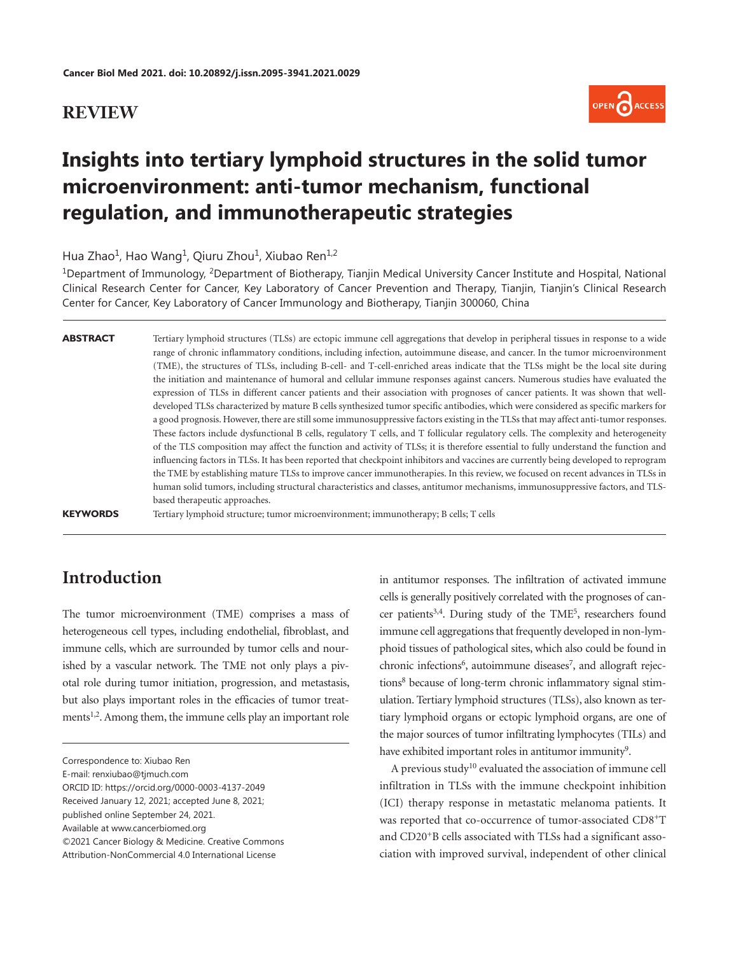#### **REVIEW**



# **Insights into tertiary lymphoid structures in the solid tumor microenvironment: anti-tumor mechanism, functional regulation, and immunotherapeutic strategies**

Hua Zhao<sup>1</sup>, Hao Wang<sup>1</sup>, Qiuru Zhou<sup>1</sup>, Xiubao Ren<sup>1,2</sup>

1Department of Immunology, 2Department of Biotherapy, Tianjin Medical University Cancer Institute and Hospital, National Clinical Research Center for Cancer, Key Laboratory of Cancer Prevention and Therapy, Tianjin, Tianjin's Clinical Research Center for Cancer, Key Laboratory of Cancer Immunology and Biotherapy, Tianjin 300060, China

| <b>ABSTRACT</b> | Tertiary lymphoid structures (TLSs) are ectopic immune cell aggregations that develop in peripheral tissues in response to a wide    |
|-----------------|--------------------------------------------------------------------------------------------------------------------------------------|
|                 | range of chronic inflammatory conditions, including infection, autoimmune disease, and cancer. In the tumor microenvironment         |
|                 | (TME), the structures of TLSs, including B-cell- and T-cell-enriched areas indicate that the TLSs might be the local site during     |
|                 | the initiation and maintenance of humoral and cellular immune responses against cancers. Numerous studies have evaluated the         |
|                 | expression of TLSs in different cancer patients and their association with prognoses of cancer patients. It was shown that well-     |
|                 | developed TLSs characterized by mature B cells synthesized tumor specific antibodies, which were considered as specific markers for  |
|                 | a good prognosis. However, there are still some immunosuppressive factors existing in the TLSs that may affect anti-tumor responses. |
|                 | These factors include dysfunctional B cells, regulatory T cells, and T follicular regulatory cells. The complexity and heterogeneity |
|                 | of the TLS composition may affect the function and activity of TLSs; it is therefore essential to fully understand the function and  |
|                 | influencing factors in TLSs. It has been reported that checkpoint inhibitors and vaccines are currently being developed to reprogram |
|                 | the TME by establishing mature TLSs to improve cancer immunotherapies. In this review, we focused on recent advances in TLSs in      |
|                 | human solid tumors, including structural characteristics and classes, antitumor mechanisms, immunosuppressive factors, and TLS-      |
|                 | based therapeutic approaches.                                                                                                        |
| $\frac{1}{2}$   |                                                                                                                                      |

**KEYWORDS** Tertiary lymphoid structure; tumor microenvironment; immunotherapy; B cells; T cells

# **Introduction**

The tumor microenvironment (TME) comprises a mass of heterogeneous cell types, including endothelial, fibroblast, and immune cells, which are surrounded by tumor cells and nourished by a vascular network. The TME not only plays a pivotal role during tumor initiation, progression, and metastasis, but also plays important roles in the efficacies of tumor treat-ments<sup>[1,](#page-8-0)[2](#page-8-1)</sup>. Among them, the immune cells play an important role

<span id="page-0-6"></span><span id="page-0-5"></span><span id="page-0-4"></span><span id="page-0-3"></span><span id="page-0-2"></span>in antitumor responses. The infiltration of activated immune cells is generally positively correlated with the prognoses of cancer patients<sup>3,4</sup>. During study of the TME<sup>5</sup>, researchers found immune cell aggregations that frequently developed in non-lymphoid tissues of pathological sites, which also could be found in chronic infections<sup>6</sup>, autoimmune diseases<sup>7</sup>, and allograft rejections<sup>8</sup> because of long-term chronic inflammatory signal stimulation. Tertiary lymphoid structures (TLSs), also known as tertiary lymphoid organs or ectopic lymphoid organs, are one of the major sources of tumor infiltrating lymphocytes (TILs) and have exhibited important roles in antitumor immunity<sup>9</sup>.

<span id="page-0-9"></span><span id="page-0-8"></span><span id="page-0-7"></span>A previous study<sup>10</sup> evaluated the association of immune cell infiltration in TLSs with the immune checkpoint inhibition (ICI) therapy response in metastatic melanoma patients. It was reported that co-occurrence of tumor-associated CD8+T and CD20+B cells associated with TLSs had a significant association with improved survival, independent of other clinical

<span id="page-0-1"></span><span id="page-0-0"></span>Correspondence to: Xiubao Ren

E-mail: renxiubao@tjmuch.com

ORCID ID: https://orcid.org/0000-0003-4137-2049

Received January 12, 2021; accepted June 8, 2021;

published online September 24, 2021.

Available at www.cancerbiomed.org

<sup>©2021</sup> Cancer Biology & Medicine. Creative Commons

Attribution-NonCommercial 4.0 International License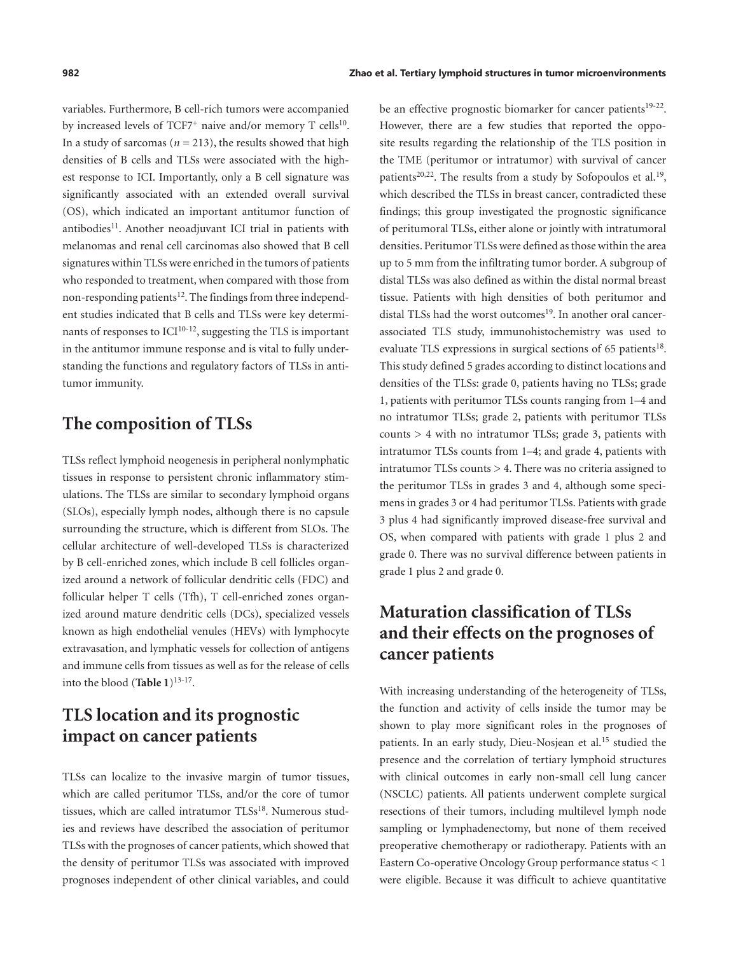<span id="page-1-0"></span>variables. Furthermore, B cell-rich tumors were accompanied by increased levels of TCF7<sup>+</sup> naive and/or memory T cells<sup>[10](#page-8-9)</sup>. In a study of sarcomas ( $n = 213$ ), the results showed that high densities of B cells and TLSs were associated with the highest response to ICI. Importantly, only a B cell signature was significantly associated with an extended overall survival (OS), which indicated an important antitumor function of antibodies $11$ . Another neoadiuvant ICI trial in patients with melanomas and renal cell carcinomas also showed that B cell signatures within TLSs were enriched in the tumors of patients who responded to treatment, when compared with those from non-responding patients<sup>12</sup>. The findings from three independent studies indicated that B cells and TLSs were key determinants of responses to  $\text{ICI}^{10-12}$ , suggesting the TLS is important in the antitumor immune response and is vital to fully understanding the functions and regulatory factors of TLSs in antitumor immunity.

### <span id="page-1-1"></span>**The composition of TLSs**

TLSs reflect lymphoid neogenesis in peripheral nonlymphatic tissues in response to persistent chronic inflammatory stimulations. The TLSs are similar to secondary lymphoid organs (SLOs), especially lymph nodes, although there is no capsule surrounding the structure, which is different from SLOs. The cellular architecture of well-developed TLSs is characterized by B cell-enriched zones, which include B cell follicles organized around a network of follicular dendritic cells (FDC) and follicular helper T cells (Tfh), T cell-enriched zones organized around mature dendritic cells (DCs), specialized vessels known as high endothelial venules (HEVs) with lymphocyte extravasation, and lymphatic vessels for collection of antigens and immune cells from tissues as well as for the release of cells into the blood ([Table 1](#page-2-0))<sup>[13](#page-8-12)-[17](#page-8-13)</sup>.

# **TLS location and its prognostic impact on cancer patients**

<span id="page-1-5"></span>TLSs can localize to the invasive margin of tumor tissues, which are called peritumor TLSs, and/or the core of tumor tissues, which are called intratumor TLSs<sup>18</sup>. Numerous studies and reviews have described the association of peritumor TLSs with the prognoses of cancer patients, which showed that the density of peritumor TLSs was associated with improved prognoses independent of other clinical variables, and could

<span id="page-1-8"></span><span id="page-1-7"></span><span id="page-1-6"></span>be an effective prognostic biomarker for cancer patients<sup>19-[22](#page-8-16)</sup>. However, there are a few studies that reported the opposite results regarding the relationship of the TLS position in the TME (peritumor or intratumor) with survival of cancer patients<sup>20,22</sup>. The results from a study by Sofopoulos et al.<sup>[19](#page-8-15)</sup>, which described the TLSs in breast cancer, contradicted these findings; this group investigated the prognostic significance of peritumoral TLSs, either alone or jointly with intratumoral densities. Peritumor TLSs were defined as those within the area up to 5 mm from the infiltrating tumor border. A subgroup of distal TLSs was also defined as within the distal normal breast tissue. Patients with high densities of both peritumor and distal TLSs had the worst outcomes<sup>19</sup>. In another oral cancerassociated TLS study, immunohistochemistry was used to evaluate TLS expressions in surgical sections of 65 patients<sup>[18](#page-8-14)</sup>. This study defined 5 grades according to distinct locations and densities of the TLSs: grade 0, patients having no TLSs; grade 1, patients with peritumor TLSs counts ranging from 1–4 and no intratumor TLSs; grade 2, patients with peritumor TLSs counts > 4 with no intratumor TLSs; grade 3, patients with intratumor TLSs counts from 1–4; and grade 4, patients with intratumor TLSs counts > 4. There was no criteria assigned to the peritumor TLSs in grades 3 and 4, although some specimens in grades 3 or 4 had peritumor TLSs. Patients with grade 3 plus 4 had significantly improved disease-free survival and OS, when compared with patients with grade 1 plus 2 and grade 0. There was no survival difference between patients in grade 1 plus 2 and grade 0.

# **Maturation classification of TLSs and their effects on the prognoses of cancer patients**

<span id="page-1-4"></span><span id="page-1-3"></span><span id="page-1-2"></span>With increasing understanding of the heterogeneity of TLSs, the function and activity of cells inside the tumor may be shown to play more significant roles in the prognoses of patients. In an early study, Dieu-Nosjean et al.<sup>15</sup> studied the presence and the correlation of tertiary lymphoid structures with clinical outcomes in early non-small cell lung cancer (NSCLC) patients. All patients underwent complete surgical resections of their tumors, including multilevel lymph node sampling or lymphadenectomy, but none of them received preoperative chemotherapy or radiotherapy. Patients with an Eastern Co-operative Oncology Group performance status < 1 were eligible. Because it was difficult to achieve quantitative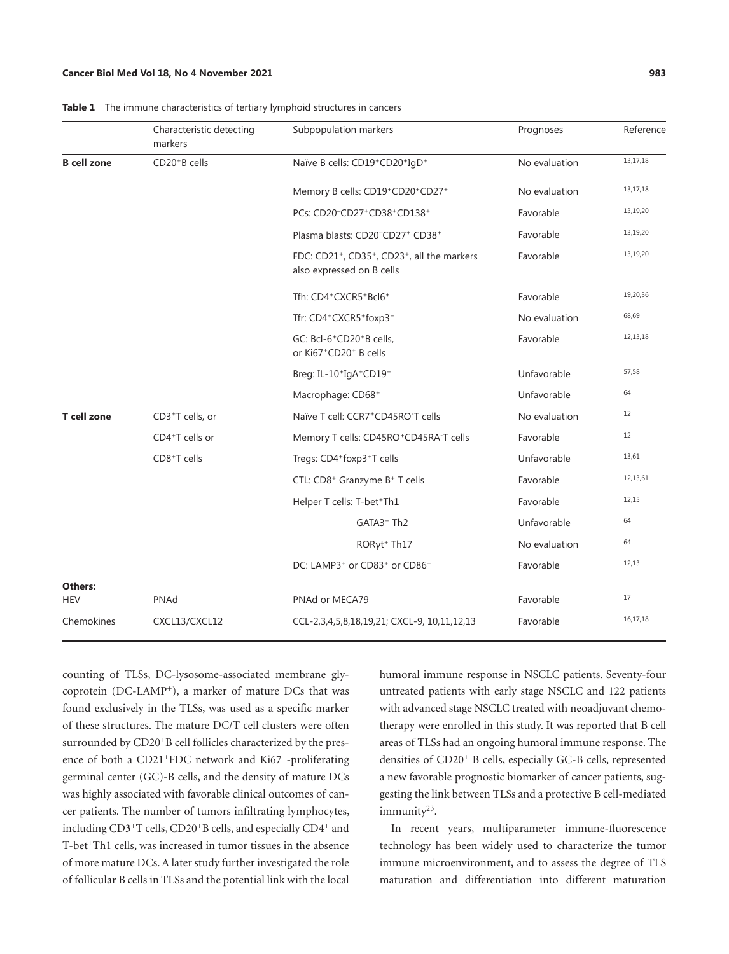#### **Cancer Biol Med Vol 18, No 4 November 2021 983**

|                       | Characteristic detecting<br>markers | Subpopulation markers                                                                                         | Prognoses     | Reference |
|-----------------------|-------------------------------------|---------------------------------------------------------------------------------------------------------------|---------------|-----------|
| <b>B</b> cell zone    | CD20 <sup>+</sup> B cells           | Naïve B cells: CD19+CD20+IgD+                                                                                 | No evaluation | 13,17,18  |
|                       |                                     | Memory B cells: CD19+CD20+CD27+                                                                               | No evaluation | 13,17,18  |
|                       |                                     | PCs: CD20 <sup>-</sup> CD27 <sup>+</sup> CD38 <sup>+</sup> CD138 <sup>+</sup>                                 | Favorable     | 13,19,20  |
|                       |                                     | Plasma blasts: CD20-CD27+ CD38+                                                                               | Favorable     | 13,19,20  |
|                       |                                     | FDC: CD21 <sup>+</sup> , CD35 <sup>+</sup> , CD23 <sup>+</sup> , all the markers<br>also expressed on B cells | Favorable     | 13,19,20  |
|                       |                                     | Tfh: CD4+CXCR5+Bcl6+                                                                                          | Favorable     | 19,20,36  |
|                       |                                     | Tfr: CD4+CXCR5+foxp3+                                                                                         | No evaluation | 68,69     |
|                       |                                     | GC: Bcl-6 <sup>+</sup> CD20 <sup>+</sup> B cells,<br>or Ki67+CD20+ B cells                                    | Favorable     | 12,13,18  |
|                       |                                     | Breg: IL-10+IgA+CD19+                                                                                         | Unfavorable   | 57,58     |
|                       |                                     | Macrophage: CD68+                                                                                             | Unfavorable   | 64        |
| <b>T</b> cell zone    | CD3+T cells, or                     | Naïve T cell: CCR7+CD45RO-T cells                                                                             | No evaluation | 12        |
|                       | CD4+T cells or                      | Memory T cells: CD45RO+CD45RA-T cells                                                                         | Favorable     | 12        |
|                       | CD8+T cells                         | Tregs: CD4+foxp3+T cells                                                                                      | Unfavorable   | 13,61     |
|                       |                                     | CTL: CD8 <sup>+</sup> Granzyme B <sup>+</sup> T cells                                                         | Favorable     | 12,13,61  |
|                       |                                     | Helper T cells: T-bet+Th1                                                                                     | Favorable     | 12,15     |
|                       |                                     | GATA3 <sup>+</sup> Th2                                                                                        | Unfavorable   | 64        |
|                       |                                     | RORyt <sup>+</sup> Th17                                                                                       | No evaluation | 64        |
|                       |                                     | DC: LAMP3 <sup>+</sup> or CD83 <sup>+</sup> or CD86 <sup>+</sup>                                              | Favorable     | 12,13     |
| Others:<br><b>HEV</b> | PNAd                                | PNAd or MECA79                                                                                                | Favorable     | 17        |
| Chemokines            | CXCL13/CXCL12                       | CCL-2,3,4,5,8,18,19,21; CXCL-9, 10,11,12,13                                                                   | Favorable     | 16,17,18  |
|                       |                                     |                                                                                                               |               |           |

<span id="page-2-0"></span>**Table 1** The immune characteristics of tertiary lymphoid structures in cancers

counting of TLSs, DC-lysosome-associated membrane glycoprotein (DC-LAMP+), a marker of mature DCs that was found exclusively in the TLSs, was used as a specific marker of these structures. The mature DC/T cell clusters were often surrounded by CD20<sup>+</sup>B cell follicles characterized by the presence of both a CD21+FDC network and Ki67+-proliferating germinal center (GC)-B cells, and the density of mature DCs was highly associated with favorable clinical outcomes of cancer patients. The number of tumors infiltrating lymphocytes, including CD3<sup>+</sup>T cells, CD20<sup>+</sup>B cells, and especially CD4<sup>+</sup> and T-bet<sup>+</sup>Th1 cells, was increased in tumor tissues in the absence of more mature DCs. A later study further investigated the role of follicular B cells in TLSs and the potential link with the local

humoral immune response in NSCLC patients. Seventy-four untreated patients with early stage NSCLC and 122 patients with advanced stage NSCLC treated with neoadjuvant chemotherapy were enrolled in this study. It was reported that B cell areas of TLSs had an ongoing humoral immune response. The densities of CD20+ B cells, especially GC-B cells, represented a new favorable prognostic biomarker of cancer patients, suggesting the link between TLSs and a protective B cell-mediated immunity<sup>23</sup>.

<span id="page-2-1"></span>In recent years, multiparameter immune-fluorescence technology has been widely used to characterize the tumor immune microenvironment, and to assess the degree of TLS maturation and differentiation into different maturation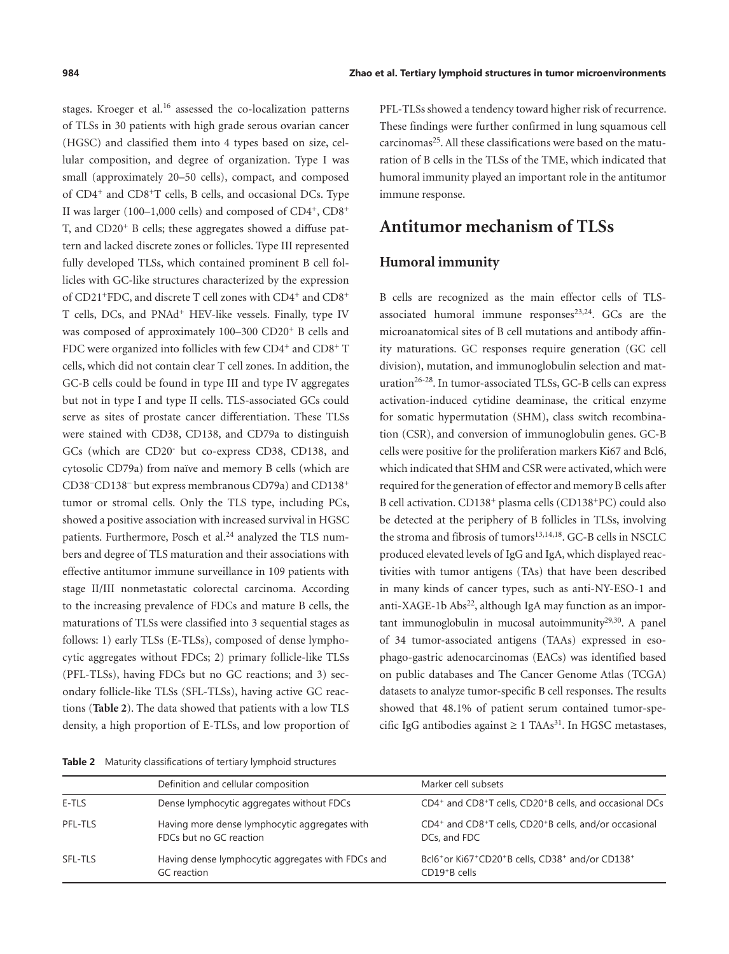stages. Kroeger et al.<sup>16</sup> assessed the co-localization patterns of TLSs in 30 patients with high grade serous ovarian cancer (HGSC) and classified them into 4 types based on size, cellular composition, and degree of organization. Type I was small (approximately 20–50 cells), compact, and composed of CD4+ and CD8+T cells, B cells, and occasional DCs. Type II was larger (100–1,000 cells) and composed of  $CD4^+$ ,  $CD8^+$ T, and CD20+ B cells; these aggregates showed a diffuse pattern and lacked discrete zones or follicles. Type III represented fully developed TLSs, which contained prominent B cell follicles with GC-like structures characterized by the expression of CD21<sup>+</sup>FDC, and discrete T cell zones with CD4<sup>+</sup> and CD8<sup>+</sup> T cells, DCs, and PNAd+ HEV-like vessels. Finally, type IV was composed of approximately 100–300 CD20<sup>+</sup> B cells and FDC were organized into follicles with few CD4<sup>+</sup> and CD8<sup>+</sup> T cells, which did not contain clear T cell zones. In addition, the GC-B cells could be found in type III and type IV aggregates but not in type I and type II cells. TLS-associated GCs could serve as sites of prostate cancer differentiation. These TLSs were stained with CD38, CD138, and CD79a to distinguish GCs (which are CD20- but co-express CD38, CD138, and cytosolic CD79a) from naïve and memory B cells (which are CD38-CD138- but express membranous CD79a) and CD138<sup>+</sup> tumor or stromal cells. Only the TLS type, including PCs, showed a positive association with increased survival in HGSC patients. Furthermore, Posch et al.<sup>24</sup> analyzed the TLS numbers and degree of TLS maturation and their associations with effective antitumor immune surveillance in 109 patients with stage II/III nonmetastatic colorectal carcinoma. According to the increasing prevalence of FDCs and mature B cells, the maturations of TLSs were classified into 3 sequential stages as follows: 1) early TLSs (E-TLSs), composed of dense lymphocytic aggregates without FDCs; 2) primary follicle-like TLSs (PFL-TLSs), having FDCs but no GC reactions; and 3) secondary follicle-like TLSs (SFL-TLSs), having active GC reactions (**[Table 2](#page-3-0)**). The data showed that patients with a low TLS density, a high proportion of E-TLSs, and low proportion of

<span id="page-3-0"></span>**Table 2** Maturity classifications of tertiary lymphoid structures

<span id="page-3-4"></span><span id="page-3-2"></span>PFL-TLSs showed a tendency toward higher risk of recurrence. These findings were further confirmed in lung squamous cell carcinomas<sup>25</sup>. All these classifications were based on the maturation of B cells in the TLSs of the TME, which indicated that humoral immunity played an important role in the antitumor immune response.

#### **Antitumor mechanism of TLSs**

#### **Humoral immunity**

<span id="page-3-9"></span><span id="page-3-8"></span><span id="page-3-7"></span><span id="page-3-6"></span><span id="page-3-5"></span><span id="page-3-3"></span><span id="page-3-1"></span>B cells are recognized as the main effector cells of TLSassociated humoral immune  $resposes^{23,24}$ . GCs are the microanatomical sites of B cell mutations and antibody affinity maturations. GC responses require generation (GC cell division), mutation, and immunoglobulin selection and maturation<sup>26-28</sup>. In tumor-associated TLSs, GC-B cells can express activation-induced cytidine deaminase, the critical enzyme for somatic hypermutation (SHM), class switch recombination (CSR), and conversion of immunoglobulin genes. GC-B cells were positive for the proliferation markers Ki67 and Bcl6, which indicated that SHM and CSR were activated, which were required for the generation of effector and memory B cells after B cell activation. CD138+ plasma cells (CD138+PC) could also be detected at the periphery of B follicles in TLSs, involving the stroma and fibrosis of tumors<sup>[13](#page-8-12),[14](#page-8-25),[18](#page-8-14)</sup>. GC-B cells in NSCLC produced elevated levels of IgG and IgA, which displayed reactivities with tumor antigens (TAs) that have been described in many kinds of cancer types, such as anti-NY-ESO-1 and anti-XAGE-1b Abs<sup>22</sup>, although IgA may function as an important immunoglobulin in mucosal autoimmunity $29,30$  $29,30$ . A panel of 34 tumor-associated antigens (TAAs) expressed in esophago-gastric adenocarcinomas (EACs) was identified based on public databases and The Cancer Genome Atlas (TCGA) datasets to analyze tumor-specific B cell responses. The results showed that 48.1% of patient serum contained tumor-specific IgG antibodies against  $\geq 1$  TAAs<sup>[31](#page-9-5)</sup>. In HGSC metastases,

|         | Definition and cellular composition                                      | Marker cell subsets                                                                                                             |
|---------|--------------------------------------------------------------------------|---------------------------------------------------------------------------------------------------------------------------------|
| E-TLS   | Dense lymphocytic aggregates without FDCs                                | CD4 <sup>+</sup> and CD8 <sup>+</sup> T cells, CD20 <sup>+</sup> B cells, and occasional DCs                                    |
| PFL-TLS | Having more dense lymphocytic aggregates with<br>FDCs but no GC reaction | CD4 <sup>+</sup> and CD8 <sup>+</sup> T cells, CD20 <sup>+</sup> B cells, and/or occasional<br>DCs, and FDC                     |
| SFL-TLS | Having dense lymphocytic aggregates with FDCs and<br>GC reaction         | Bcl6 <sup>+</sup> or Ki67 <sup>+</sup> CD20 <sup>+</sup> B cells, CD38 <sup>+</sup> and/or CD138 <sup>+</sup><br>$CD19+B$ cells |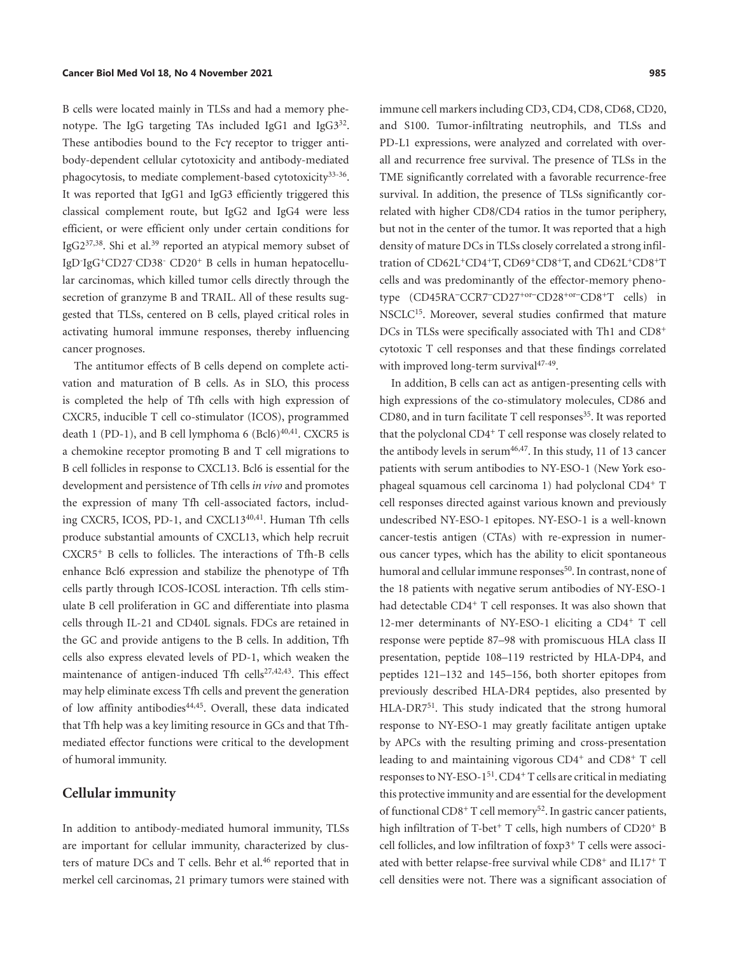<span id="page-4-2"></span><span id="page-4-1"></span>B cells were located mainly in TLSs and had a memory phe-notype. The IgG targeting TAs included IgG1 and IgG3<sup>[32](#page-9-6)</sup>. These antibodies bound to the Fcγ receptor to trigger antibody-dependent cellular cytotoxicity and antibody-mediated phagocytosis, to mediate complement-based cytotoxicity<sup>33-[36](#page-9-0)</sup>. It was reported that IgG1 and IgG3 efficiently triggered this classical complement route, but IgG2 and IgG4 were less efficient, or were efficient only under certain conditions for IgG $2^{37,38}$  $2^{37,38}$  $2^{37,38}$  $2^{37,38}$  $2^{37,38}$ . Shi et al.<sup>39</sup> reported an atypical memory subset of IgD-IgG+CD27- CD38- CD20+ B cells in human hepatocellular carcinomas, which killed tumor cells directly through the secretion of granzyme B and TRAIL. All of these results suggested that TLSs, centered on B cells, played critical roles in activating humoral immune responses, thereby influencing cancer prognoses.

<span id="page-4-8"></span><span id="page-4-7"></span><span id="page-4-6"></span><span id="page-4-5"></span>The antitumor effects of B cells depend on complete activation and maturation of B cells. As in SLO, this process is completed the help of Tfh cells with high expression of CXCR5, inducible T cell co-stimulator (ICOS), programmed death 1 (PD-1), and B cell lymphoma 6 (Bcl6) $40,41$  $40,41$ . CXCR5 is a chemokine receptor promoting B and T cell migrations to B cell follicles in response to CXCL13. Bcl6 is essential for the development and persistence of Tfh cells *in vivo* and promotes the expression of many Tfh cell-associated factors, including CXCR5, ICOS, PD-1, and CXCL13[40](#page-9-11),[41](#page-9-12). Human Tfh cells produce substantial amounts of CXCL13, which help recruit CXCR5+ B cells to follicles. The interactions of Tfh-B cells enhance Bcl6 expression and stabilize the phenotype of Tfh cells partly through ICOS-ICOSL interaction. Tfh cells stimulate B cell proliferation in GC and differentiate into plasma cells through IL-21 and CD40L signals. FDCs are retained in the GC and provide antigens to the B cells. In addition, Tfh cells also express elevated levels of PD-1, which weaken the maintenance of antigen-induced Tfh cells<sup>[27](#page-8-26),[42](#page-9-13),[43](#page-9-14)</sup>. This effect may help eliminate excess Tfh cells and prevent the generation of low affinity antibodies<sup>[44](#page-9-15),[45](#page-9-16)</sup>. Overall, these data indicated that Tfh help was a key limiting resource in GCs and that Tfhmediated effector functions were critical to the development of humoral immunity.

#### <span id="page-4-12"></span><span id="page-4-11"></span><span id="page-4-0"></span>**Cellular immunity**

<span id="page-4-13"></span>In addition to antibody-mediated humoral immunity, TLSs are important for cellular immunity, characterized by clus-ters of mature DCs and T cells. Behr et al.<sup>[46](#page-9-17)</sup> reported that in merkel cell carcinomas, 21 primary tumors were stained with <span id="page-4-4"></span>immune cell markers including CD3, CD4, CD8, CD68, CD20, and S100. Tumor-infiltrating neutrophils, and TLSs and PD-L1 expressions, were analyzed and correlated with overall and recurrence free survival. The presence of TLSs in the TME significantly correlated with a favorable recurrence-free survival. In addition, the presence of TLSs significantly correlated with higher CD8/CD4 ratios in the tumor periphery, but not in the center of the tumor. It was reported that a high density of mature DCs in TLSs closely correlated a strong infiltration of CD62L+CD4+T, CD69+CD8+T, and CD62L+CD8+T cells and was predominantly of the effector-memory phenotype (CD45RA-CCR7-CD27+or-CD28+or-CD8+T cells) in NSCLC<sup>[15](#page-8-18)</sup>. Moreover, several studies confirmed that mature DCs in TLSs were specifically associated with Th1 and CD8<sup>+</sup> cytotoxic T cell responses and that these findings correlated with improved long-term survival<sup>[47](#page-9-18)-[49](#page-9-19)</sup>.

<span id="page-4-18"></span><span id="page-4-17"></span><span id="page-4-16"></span><span id="page-4-15"></span><span id="page-4-14"></span><span id="page-4-10"></span><span id="page-4-9"></span><span id="page-4-3"></span>In addition, B cells can act as antigen-presenting cells with high expressions of the co-stimulatory molecules, CD86 and CD80, and in turn facilitate T cell responses<sup>35</sup>. It was reported that the polyclonal CD4+ T cell response was closely related to the antibody levels in serum $46,47$  $46,47$  $46,47$ . In this study, 11 of 13 cancer patients with serum antibodies to NY-ESO-1 (New York esophageal squamous cell carcinoma 1) had polyclonal CD4+ T cell responses directed against various known and previously undescribed NY-ESO-1 epitopes. NY-ESO-1 is a well-known cancer-testis antigen (CTAs) with re-expression in numerous cancer types, which has the ability to elicit spontaneous humoral and cellular immune responses<sup>[50](#page-9-21)</sup>. In contrast, none of the 18 patients with negative serum antibodies of NY-ESO-1 had detectable CD4<sup>+</sup> T cell responses. It was also shown that 12-mer determinants of NY-ESO-1 eliciting a CD4+ T cell response were peptide 87–98 with promiscuous HLA class II presentation, peptide 108–119 restricted by HLA-DP4, and peptides 121–132 and 145–156, both shorter epitopes from previously described HLA-DR4 peptides, also presented by HLA-DR7<sup>[51](#page-9-22)</sup>. This study indicated that the strong humoral response to NY-ESO-1 may greatly facilitate antigen uptake by APCs with the resulting priming and cross-presentation leading to and maintaining vigorous CD4+ and CD8+ T cell responses to NY-ESO-1[51](#page-9-22). CD4+ T cells are critical in mediating this protective immunity and are essential for the development of functional CD8<sup>+</sup> T cell memory<sup>[52](#page-9-23)</sup>. In gastric cancer patients, high infiltration of T-bet<sup>+</sup> T cells, high numbers of CD20<sup>+</sup> B cell follicles, and low infiltration of foxp3+ T cells were associated with better relapse-free survival while CD8+ and IL17+ T cell densities were not. There was a significant association of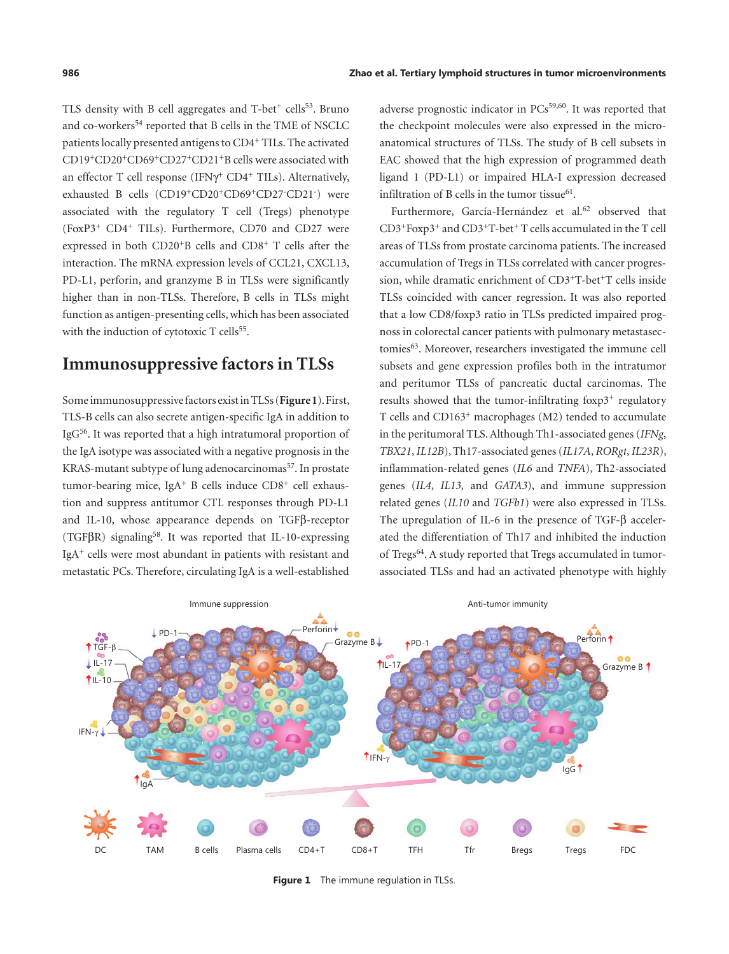<span id="page-5-2"></span>TLS density with B cell aggregates and  $T$ -bet<sup>+</sup> cells<sup>53</sup>. Bruno and co-workers<sup>54</sup> reported that B cells in the TME of NSCLC patients locally presented antigens to CD4+ TILs. The activated CD19+CD20+CD69+CD27+CD21+B cells were associated with an effector T cell response (IFN $\gamma$ <sup>+</sup> CD4<sup>+</sup> TILs). Alternatively, exhausted B cells (CD19<sup>+</sup>CD20<sup>+</sup>CD69<sup>+</sup>CD27<sup>-</sup>CD21<sup>-</sup>) were associated with the regulatory T cell (Tregs) phenotype (FoxP3+ CD4+ TILs). Furthermore, CD70 and CD27 were expressed in both CD20+B cells and CD8+ T cells after the interaction. The mRNA expression levels of CCL21, CXCL13, PD-L1, perforin, and granzyme B in TLSs were significantly higher than in non-TLSs. Therefore, B cells in TLSs might function as antigen-presenting cells, which has been associated with the induction of cytotoxic T cells<sup>55</sup>.

## <span id="page-5-3"></span>**Immunosuppressive factors in TLSs**

<span id="page-5-5"></span><span id="page-5-4"></span>Some immunosuppressive factors exist in TLSs (**[Figure 1](#page-5-0)**). First, TLS-B cells can also secrete antigen-specific IgA in addition to Ig[G56.](#page-9-27) It was reported that a high intratumoral proportion of the IgA isotype was associated with a negative prognosis in the KRAS-mutant subtype of lung adenocarcinomas<sup>57</sup>. In prostate tumor-bearing mice, IgA<sup>+</sup> B cells induce  $CD8<sup>+</sup>$  cell exhaustion and suppress antitumor CTL responses through PD-L1 and IL-10, whose appearance depends on TGFβ-receptor (TGF $\beta$ R) signaling<sup>[58](#page-9-2)</sup>. It was reported that IL-10-expressing IgA+ cells were most abundant in patients with resistant and metastatic PCs. Therefore, circulating IgA is a well-established

<span id="page-5-8"></span><span id="page-5-7"></span><span id="page-5-1"></span>adverse prognostic indicator in PCs<sup>59,[60](#page-10-4)</sup>. It was reported that the checkpoint molecules were also expressed in the microanatomical structures of TLSs. The study of B cell subsets in EAC showed that the high expression of programmed death ligand 1 (PD-L1) or impaired HLA-I expression decreased infiltration of B cells in the tumor tissue $61$ .

<span id="page-5-11"></span><span id="page-5-10"></span><span id="page-5-9"></span>Furthermore, García-Hernández et al.<sup>[62](#page-10-5)</sup> observed that  $CD3+FoxD3+$  and  $CD3+T-bet+T$  cells accumulated in the T cell areas of TLSs from prostate carcinoma patients. The increased accumulation of Tregs in TLSs correlated with cancer progression, while dramatic enrichment of CD3+T-bet+T cells inside TLSs coincided with cancer regression. It was also reported that a low CD8/foxp3 ratio in TLSs predicted impaired prognoss in colorectal cancer patients with pulmonary metastasectomies[63.](#page-10-6) Moreover, researchers investigated the immune cell subsets and gene expression profiles both in the intratumor and peritumor TLSs of pancreatic ductal carcinomas. The results showed that the tumor-infiltrating foxp3<sup>+</sup> regulatory T cells and CD163+ macrophages (M2) tended to accumulate in the peritumoral TLS. Although Th1-associated genes (*IFNg*, *TBX21*, *IL12B*), Th17-associated genes (*IL17A*, *RORgt*, *IL23R*), inflammation-related genes (*IL6* and *TNFA*), Th2-associated genes (*IL4*, *IL13,* and *GATA3*), and immune suppression related genes (*IL10* and *TGFb1*) were also expressed in TLSs. The upregulation of IL-6 in the presence of TGF-β accelerated the differentiation of Th17 and inhibited the induction of Tregs<sup>64</sup>. A study reported that Tregs accumulated in tumorassociated TLSs and had an activated phenotype with highly

<span id="page-5-12"></span><span id="page-5-6"></span>

<span id="page-5-0"></span>**Figure 1** The immune regulation in TLSs.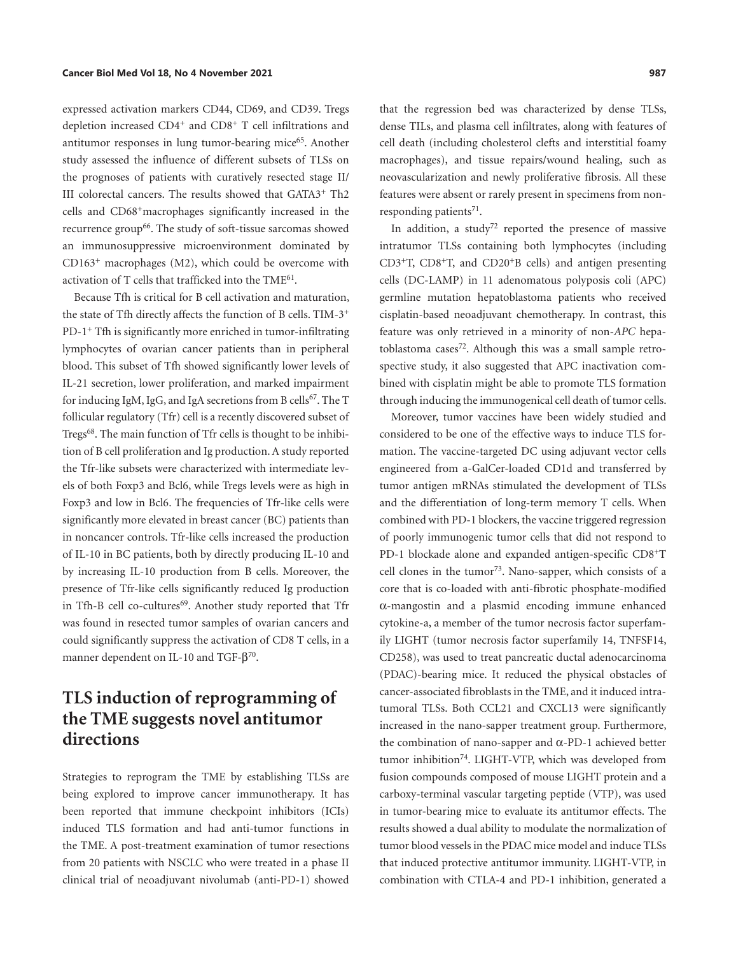<span id="page-6-0"></span>expressed activation markers CD44, CD69, and CD39. Tregs depletion increased CD4+ and CD8+ T cell infiltrations and antitumor responses in lung tumor-bearing mice<sup>65</sup>. Another study assessed the influence of different subsets of TLSs on the prognoses of patients with curatively resected stage II/ III colorectal cancers. The results showed that GATA3+ Th2 cells and CD68+macrophages significantly increased in the recurrence group<sup>[66](#page-10-8)</sup>. The study of soft-tissue sarcomas showed an immunosuppressive microenvironment dominated by CD163+ macrophages (M2), which could be overcome with activation of T cells that trafficked into the  $\text{TME}^{61}$ .

<span id="page-6-3"></span><span id="page-6-2"></span><span id="page-6-1"></span>Because Tfh is critical for B cell activation and maturation, the state of Tfh directly affects the function of B cells. TIM-3+ PD-1+ Tfh is significantly more enriched in tumor-infiltrating lymphocytes of ovarian cancer patients than in peripheral blood. This subset of Tfh showed significantly lower levels of IL-21 secretion, lower proliferation, and marked impairment for inducing IgM, IgG, and IgA secretions from B cells<sup>67</sup>. The T follicular regulatory (Tfr) cell is a recently discovered subset of Tregs<sup>[68](#page-10-0)</sup>. The main function of Tfr cells is thought to be inhibition of B cell proliferation and Ig production. A study reported the Tfr-like subsets were characterized with intermediate levels of both Foxp3 and Bcl6, while Tregs levels were as high in Foxp3 and low in Bcl6. The frequencies of Tfr-like cells were significantly more elevated in breast cancer (BC) patients than in noncancer controls. Tfr-like cells increased the production of IL-10 in BC patients, both by directly producing IL-10 and by increasing IL-10 production from B cells. Moreover, the presence of Tfr-like cells significantly reduced Ig production in Tfh-B cell co-cultures<sup>69</sup>. Another study reported that Tfr was found in resected tumor samples of ovarian cancers and could significantly suppress the activation of CD8 T cells, in a manner dependent on IL-10 and TGF-β<sup>[70](#page-10-10)</sup>.

# <span id="page-6-4"></span>**TLS induction of reprogramming of the TME suggests novel antitumor directions**

<span id="page-6-9"></span>Strategies to reprogram the TME by establishing TLSs are being explored to improve cancer immunotherapy. It has been reported that immune checkpoint inhibitors (ICIs) induced TLS formation and had anti-tumor functions in the TME. A post-treatment examination of tumor resections from 20 patients with NSCLC who were treated in a phase II clinical trial of neoadjuvant nivolumab (anti-PD-1) showed

that the regression bed was characterized by dense TLSs, dense TILs, and plasma cell infiltrates, along with features of cell death (including cholesterol clefts and interstitial foamy macrophages), and tissue repairs/wound healing, such as neovascularization and newly proliferative fibrosis. All these features were absent or rarely present in specimens from nonresponding patients $71$ .

<span id="page-6-7"></span><span id="page-6-6"></span>In addition, a study<sup>72</sup> reported the presence of massive intratumor TLSs containing both lymphocytes (including CD3+T, CD8+T, and CD20+B cells) and antigen presenting cells (DC-LAMP) in 11 adenomatous polyposis coli (APC) germline mutation hepatoblastoma patients who received cisplatin-based neoadjuvant chemotherapy. In contrast, this feature was only retrieved in a minority of non-*APC* hepatoblastoma cases<sup>72</sup>. Although this was a small sample retrospective study, it also suggested that APC inactivation combined with cisplatin might be able to promote TLS formation through inducing the immunogenical cell death of tumor cells.

<span id="page-6-8"></span><span id="page-6-5"></span>Moreover, tumor vaccines have been widely studied and considered to be one of the effective ways to induce TLS formation. The vaccine-targeted DC using adjuvant vector cells engineered from a-GalCer-loaded CD1d and transferred by tumor antigen mRNAs stimulated the development of TLSs and the differentiation of long-term memory T cells. When combined with PD-1 blockers, the vaccine triggered regression of poorly immunogenic tumor cells that did not respond to PD-1 blockade alone and expanded antigen-specific CD8+T cell clones in the tumor<sup>[73](#page-10-13)</sup>. Nano-sapper, which consists of a core that is co-loaded with anti-fibrotic phosphate-modified α-mangostin and a plasmid encoding immune enhanced cytokine-a, a member of the tumor necrosis factor superfamily LIGHT (tumor necrosis factor superfamily 14, TNFSF14, CD258), was used to treat pancreatic ductal adenocarcinoma (PDAC)-bearing mice. It reduced the physical obstacles of cancer-associated fibroblasts in the TME, and it induced intratumoral TLSs. Both CCL21 and CXCL13 were significantly increased in the nano-sapper treatment group. Furthermore, the combination of nano-sapper and α-PD-1 achieved better tumor inhibition<sup>[74](#page-10-14)</sup>. LIGHT-VTP, which was developed from fusion compounds composed of mouse LIGHT protein and a carboxy-terminal vascular targeting peptide (VTP), was used in tumor-bearing mice to evaluate its antitumor effects. The results showed a dual ability to modulate the normalization of tumor blood vessels in the PDAC mice model and induce TLSs that induced protective antitumor immunity. LIGHT-VTP, in combination with CTLA-4 and PD-1 inhibition, generated a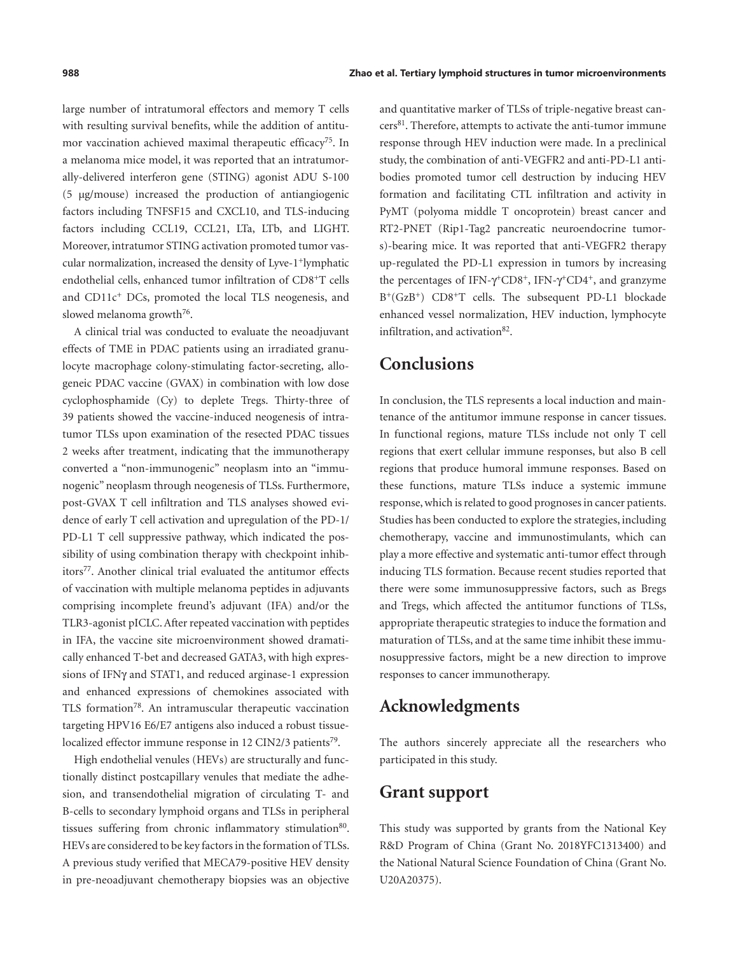<span id="page-7-0"></span>large number of intratumoral effectors and memory T cells with resulting survival benefits, while the addition of antitumor vaccination achieved maximal therapeutic efficacy<sup>75</sup>. In a melanoma mice model, it was reported that an intratumorally-delivered interferon gene (STING) agonist ADU S-100 (5 µg/mouse) increased the production of antiangiogenic factors including TNFSF15 and CXCL10, and TLS-inducing factors including CCL19, CCL21, LTa, LTb, and LIGHT. Moreover, intratumor STING activation promoted tumor vascular normalization, increased the density of Lyve-1+lymphatic endothelial cells, enhanced tumor infiltration of CD8+T cells and CD11c+ DCs, promoted the local TLS neogenesis, and slowed melanoma growth<sup>[76](#page-10-16)</sup>.

<span id="page-7-1"></span>A clinical trial was conducted to evaluate the neoadjuvant effects of TME in PDAC patients using an irradiated granulocyte macrophage colony-stimulating factor-secreting, allogeneic PDAC vaccine (GVAX) in combination with low dose cyclophosphamide (Cy) to deplete Tregs. Thirty-three of 39 patients showed the vaccine-induced neogenesis of intratumor TLSs upon examination of the resected PDAC tissues 2 weeks after treatment, indicating that the immunotherapy converted a "non-immunogenic" neoplasm into an "immunogenic" neoplasm through neogenesis of TLSs. Furthermore, post-GVAX T cell infiltration and TLS analyses showed evidence of early T cell activation and upregulation of the PD-1/ PD-L1 T cell suppressive pathway, which indicated the possibility of using combination therapy with checkpoint inhib-itors<sup>[77](#page-10-17)</sup>. Another clinical trial evaluated the antitumor effects of vaccination with multiple melanoma peptides in adjuvants comprising incomplete freund's adjuvant (IFA) and/or the TLR3-agonist pICLC. After repeated vaccination with peptides in IFA, the vaccine site microenvironment showed dramatically enhanced T-bet and decreased GATA3, with high expressions of IFNγ and STAT1, and reduced arginase-1 expression and enhanced expressions of chemokines associated with TLS formation<sup>78</sup>. An intramuscular therapeutic vaccination targeting HPV16 E6/E7 antigens also induced a robust tissuelocalized effector immune response in 12 CIN2/3 patients<sup>79</sup>.

<span id="page-7-5"></span><span id="page-7-4"></span><span id="page-7-3"></span><span id="page-7-2"></span>High endothelial venules (HEVs) are structurally and functionally distinct postcapillary venules that mediate the adhesion, and transendothelial migration of circulating T- and B-cells to secondary lymphoid organs and TLSs in peripheral tissues suffering from chronic inflammatory stimulation<sup>[80](#page-10-20)</sup>. HEVs are considered to be key factors in the formation of TLSs. A previous study verified that MECA79-positive HEV density in pre-neoadjuvant chemotherapy biopsies was an objective

<span id="page-7-6"></span>and quantitative marker of TLSs of triple-negative breast can- $cers<sup>81</sup>$  $cers<sup>81</sup>$  $cers<sup>81</sup>$ . Therefore, attempts to activate the anti-tumor immune response through HEV induction were made. In a preclinical study, the combination of anti-VEGFR2 and anti-PD-L1 antibodies promoted tumor cell destruction by inducing HEV formation and facilitating CTL infiltration and activity in PyMT (polyoma middle T oncoprotein) breast cancer and RT2-PNET (Rip1-Tag2 pancreatic neuroendocrine tumors)-bearing mice. It was reported that anti-VEGFR2 therapy up-regulated the PD-L1 expression in tumors by increasing the percentages of IFN- $\gamma$ <sup>+</sup>CD8<sup>+</sup>, IFN- $\gamma$ <sup>+</sup>CD4<sup>+</sup>, and granzyme B+(GzB+) CD8+T cells. The subsequent PD-L1 blockade enhanced vessel normalization, HEV induction, lymphocyte infiltration, and activation $82$ .

### <span id="page-7-7"></span>**Conclusions**

In conclusion, the TLS represents a local induction and maintenance of the antitumor immune response in cancer tissues. In functional regions, mature TLSs include not only T cell regions that exert cellular immune responses, but also B cell regions that produce humoral immune responses. Based on these functions, mature TLSs induce a systemic immune response, which is related to good prognoses in cancer patients. Studies has been conducted to explore the strategies, including chemotherapy, vaccine and immunostimulants, which can play a more effective and systematic anti-tumor effect through inducing TLS formation. Because recent studies reported that there were some immunosuppressive factors, such as Bregs and Tregs, which affected the antitumor functions of TLSs, appropriate therapeutic strategies to induce the formation and maturation of TLSs, and at the same time inhibit these immunosuppressive factors, might be a new direction to improve responses to cancer immunotherapy.

#### **Acknowledgments**

The authors sincerely appreciate all the researchers who participated in this study.

#### **Grant support**

This study was supported by grants from the National Key R&D Program of China (Grant No. 2018YFC1313400) and the National Natural Science Foundation of China (Grant No. U20A20375).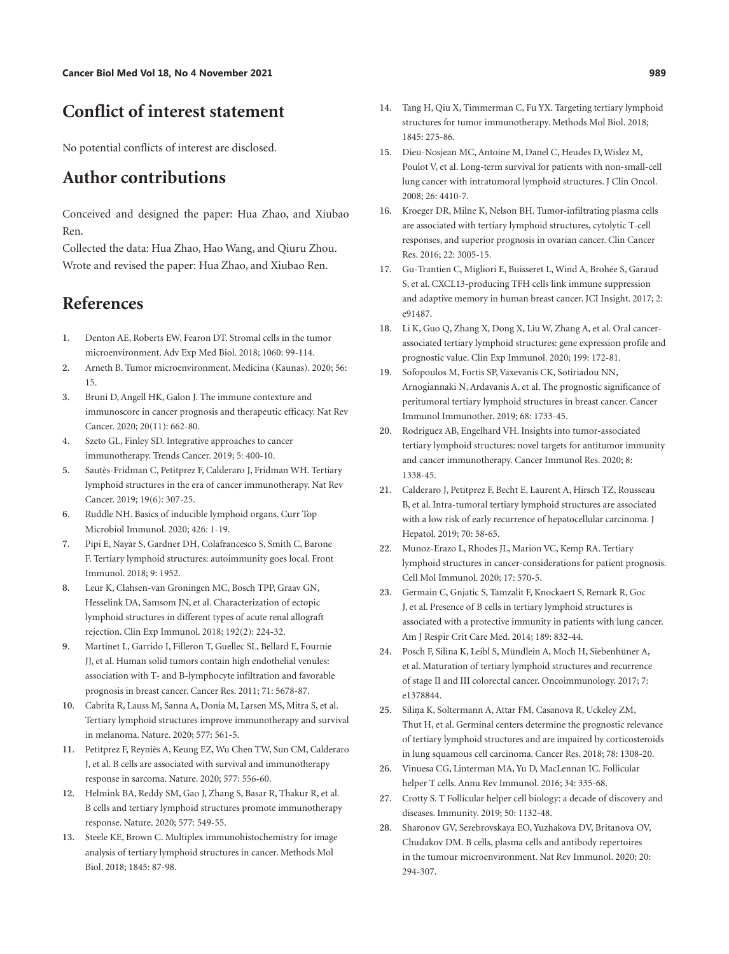## **Conflict of interest statement**

No potential conflicts of interest are disclosed.

### **Author contributions**

Conceived and designed the paper: Hua Zhao, and Xiubao Ren.

Collected the data: Hua Zhao, Hao Wang, and Qiuru Zhou. Wrote and revised the paper: Hua Zhao, and Xiubao Ren.

### **References**

- <span id="page-8-0"></span>[1](#page-0-0). Denton AE, Roberts EW, Fearon DT. Stromal cells in the tumor microenvironment. Adv Exp Med Biol. 2018; 1060: 99-114.
- <span id="page-8-1"></span>[2](#page-0-1). Arneth B. Tumor microenvironment. Medicina (Kaunas). 2020; 56: 15.
- <span id="page-8-2"></span>[3](#page-0-2). Bruni D, Angell HK, Galon J. The immune contexture and immunoscore in cancer prognosis and therapeutic efficacy. Nat Rev Cancer. 2020; 20(11): 662-80.
- <span id="page-8-3"></span>[4](#page-0-3). Szeto GL, Finley SD. Integrative approaches to cancer immunotherapy. Trends Cancer. 2019; 5: 400-10.
- <span id="page-8-4"></span>[5](#page-0-4). Sautès-Fridman C, Petitprez F, Calderaro J, Fridman WH. Tertiary lymphoid structures in the era of cancer immunotherapy. Nat Rev Cancer. 2019; 19(6): 307-25.
- <span id="page-8-5"></span>[6](#page-0-5). Ruddle NH. Basics of inducible lymphoid organs. Curr Top Microbiol Immunol. 2020; 426: 1-19.
- <span id="page-8-6"></span>[7](#page-0-6). Pipi E, Nayar S, Gardner DH, Colafrancesco S, Smith C, Barone F. Tertiary lymphoid structures: autoimmunity goes local. Front Immunol. 2018; 9: 1952.
- <span id="page-8-7"></span>[8](#page-0-7). Leur K, Clahsen-van Groningen MC, Bosch TPP, Graav GN, Hesselink DA, Samsom JN, et al. Characterization of ectopic lymphoid structures in different types of acute renal allograft rejection. Clin Exp Immunol. 2018; 192(2): 224-32.
- <span id="page-8-8"></span>[9](#page-0-8). Martinet L, Garrido I, Filleron T, Guellec SL, Bellard E, Fournie JJ, et al. Human solid tumors contain high endothelial venules: association with T- and B-lymphocyte infiltration and favorable prognosis in breast cancer. Cancer Res. 2011; 71: 5678-87.
- <span id="page-8-9"></span>[10](#page-0-9). Cabrita R, Lauss M, Sanna A, Donia M, Larsen MS, Mitra S, et al. Tertiary lymphoid structures improve immunotherapy and survival in melanoma. Nature. 2020; 577: 561-5.
- <span id="page-8-10"></span>[11](#page-1-0). Petitprez F, Reyniès A, Keung EZ, Wu Chen TW, Sun CM, Calderaro J, et al. B cells are associated with survival and immunotherapy response in sarcoma. Nature. 2020; 577: 556-60.
- <span id="page-8-11"></span>[12](#page-1-1). Helmink BA, Reddy SM, Gao J, Zhang S, Basar R, Thakur R, et al. B cells and tertiary lymphoid structures promote immunotherapy response. Nature. 2020; 577: 549-55.
- <span id="page-8-12"></span>[13](#page-1-2). Steele KE, Brown C. Multiplex immunohistochemistry for image analysis of tertiary lymphoid structures in cancer. Methods Mol Biol. 2018; 1845: 87-98.
- <span id="page-8-25"></span>[14](#page-3-1). Tang H, Qiu X, Timmerman C, Fu YX. Targeting tertiary lymphoid structures for tumor immunotherapy. Methods Mol Biol. 2018; 1845: 275-86.
- <span id="page-8-18"></span>[15](#page-1-3). Dieu-Nosjean MC, Antoine M, Danel C, Heudes D, Wislez M, Poulot V, et al. Long-term survival for patients with non-small-cell lung cancer with intratumoral lymphoid structures. J Clin Oncol. 2008; 26: 4410-7.
- <span id="page-8-20"></span>[16](#page-3-2). Kroeger DR, Milne K, Nelson BH. Tumor-infiltrating plasma cells are associated with tertiary lymphoid structures, cytolytic T-cell responses, and superior prognosis in ovarian cancer. Clin Cancer Res. 2016; 22: 3005-15.
- <span id="page-8-13"></span>[17](#page-1-4). Gu-Trantien C, Migliori E, Buisseret L, Wind A, Brohée S, Garaud S, et al. CXCL13-producing TFH cells link immune suppression and adaptive memory in human breast cancer. JCI Insight. 2017; 2: e91487.
- <span id="page-8-14"></span>[18](#page-1-5). Li K, Guo Q, Zhang X, Dong X, Liu W, Zhang A, et al. Oral cancerassociated tertiary lymphoid structures: gene expression profile and prognostic value. Clin Exp Immunol. 2020; 199: 172-81.
- <span id="page-8-15"></span>[19](#page-1-6). Sofopoulos M, Fortis SP, Vaxevanis CK, Sotiriadou NN, Arnogiannaki N, Ardavanis A, et al. The prognostic significance of peritumoral tertiary lymphoid structures in breast cancer. Cancer Immunol Immunother. 2019; 68: 1733-45.
- <span id="page-8-17"></span>[20](#page-1-7). Rodriguez AB, Engelhard VH. Insights into tumor-associated tertiary lymphoid structures: novel targets for antitumor immunity and cancer immunotherapy. Cancer Immunol Res. 2020; 8: 1338-45.
- 21. Calderaro J, Petitprez F, Becht E, Laurent A, Hirsch TZ, Rousseau B, et al. Intra-tumoral tertiary lymphoid structures are associated with a low risk of early recurrence of hepatocellular carcinoma. J Hepatol. 2019; 70: 58-65.
- <span id="page-8-16"></span>[22](#page-1-8). Munoz-Erazo L, Rhodes JL, Marion VC, Kemp RA. Tertiary lymphoid structures in cancer-considerations for patient prognosis. Cell Mol Immunol. 2020; 17: 570-5.
- <span id="page-8-19"></span>[23](#page-2-1). Germain C, Gnjatic S, Tamzalit F, Knockaert S, Remark R, Goc J, et al. Presence of B cells in tertiary lymphoid structures is associated with a protective immunity in patients with lung cancer. Am J Respir Crit Care Med. 2014; 189: 832-44.
- <span id="page-8-21"></span>[24](#page-3-3). Posch F, Silina K, Leibl S, Mündlein A, Moch H, Siebenhüner A, et al. Maturation of tertiary lymphoid structures and recurrence of stage II and III colorectal cancer. Oncoimmunology. 2017; 7: e1378844.
- <span id="page-8-22"></span>[25](#page-3-4). Siliņa K, Soltermann A, Attar FM, Casanova R, Uckeley ZM, Thut H, et al. Germinal centers determine the prognostic relevance of tertiary lymphoid structures and are impaired by corticosteroids in lung squamous cell carcinoma. Cancer Res. 2018; 78: 1308-20.
- <span id="page-8-23"></span>[26](#page-3-5). Vinuesa CG, Linterman MA, Yu D, MacLennan IC. Follicular helper T cells. Annu Rev Immunol. 2016; 34: 335-68.
- <span id="page-8-26"></span>[27](#page-4-0). Crotty S. T Follicular helper cell biology: a decade of discovery and diseases. Immunity. 2019; 50: 1132-48.
- <span id="page-8-24"></span>[28](#page-3-6). Sharonov GV, Serebrovskaya EO, Yuzhakova DV, Britanova OV, Chudakov DM. B cells, plasma cells and antibody repertoires in the tumour microenvironment. Nat Rev Immunol. 2020; 20: 294-307.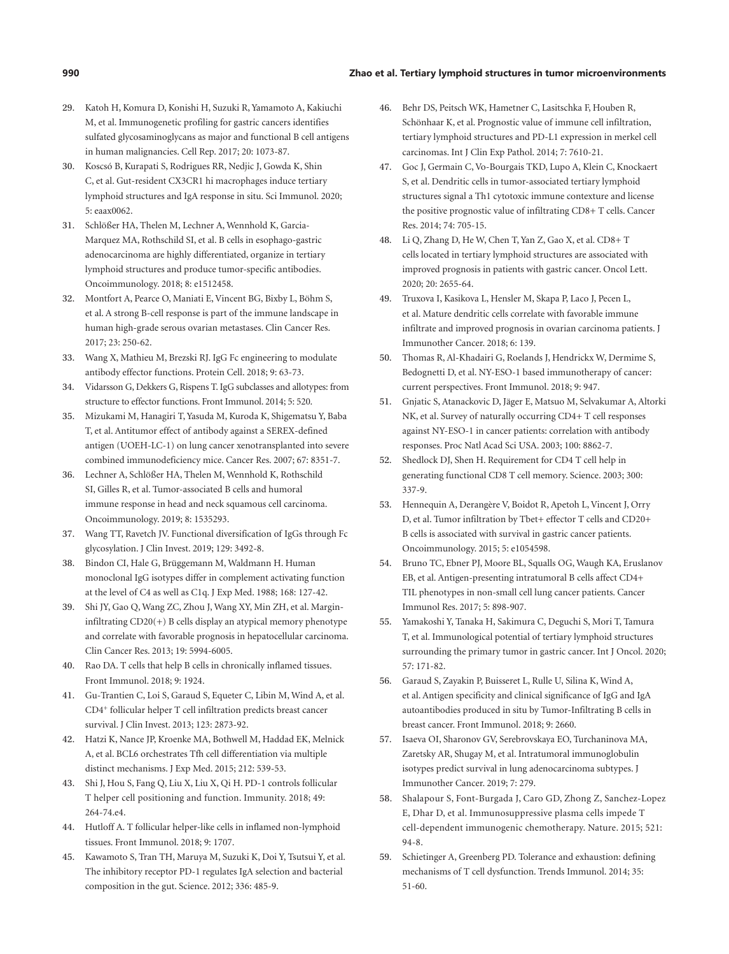#### **990 Zhao et al. Tertiary lymphoid structures in tumor microenvironments**

- <span id="page-9-3"></span>[29](#page-3-7). Katoh H, Komura D, Konishi H, Suzuki R, Yamamoto A, Kakiuchi M, et al. Immunogenetic profiling for gastric cancers identifies sulfated glycosaminoglycans as major and functional B cell antigens in human malignancies. Cell Rep. 2017; 20: 1073-87.
- <span id="page-9-4"></span>[30](#page-3-8). Koscsó B, Kurapati S, Rodrigues RR, Nedjic J, Gowda K, Shin C, et al. Gut-resident CX3CR1 hi macrophages induce tertiary lymphoid structures and IgA response in situ. Sci Immunol. 2020; 5: eaax0062.
- <span id="page-9-5"></span>[31](#page-3-9). Schlößer HA, Thelen M, Lechner A, Wennhold K, Garcia-Marquez MA, Rothschild SI, et al. B cells in esophago-gastric adenocarcinoma are highly differentiated, organize in tertiary lymphoid structures and produce tumor-specific antibodies. Oncoimmunology. 2018; 8: e1512458.
- <span id="page-9-6"></span>[32](#page-4-1). Montfort A, Pearce O, Maniati E, Vincent BG, Bixby L, Böhm S, et al. A strong B-cell response is part of the immune landscape in human high-grade serous ovarian metastases. Clin Cancer Res. 2017; 23: 250-62.
- <span id="page-9-7"></span>[33](#page-4-2). Wang X, Mathieu M, Brezski RJ. IgG Fc engineering to modulate antibody effector functions. Protein Cell. 2018; 9: 63-73.
- 34. Vidarsson G, Dekkers G, Rispens T. IgG subclasses and allotypes: from structure to effector functions. Front Immunol. 2014; 5: 520.
- <span id="page-9-20"></span>[35](#page-4-3). Mizukami M, Hanagiri T, Yasuda M, Kuroda K, Shigematsu Y, Baba T, et al. Antitumor effect of antibody against a SEREX-defined antigen (UOEH-LC-1) on lung cancer xenotransplanted into severe combined immunodeficiency mice. Cancer Res. 2007; 67: 8351-7.
- <span id="page-9-0"></span>[36](#page-4-4). Lechner A, Schlößer HA, Thelen M, Wennhold K, Rothschild SI, Gilles R, et al. Tumor-associated B cells and humoral immune response in head and neck squamous cell carcinoma. Oncoimmunology. 2019; 8: 1535293.
- <span id="page-9-8"></span>[37](#page-4-5). Wang TT, Ravetch JV. Functional diversification of IgGs through Fc glycosylation. J Clin Invest. 2019; 129: 3492-8.
- <span id="page-9-9"></span>[38](#page-4-6). Bindon CI, Hale G, Brüggemann M, Waldmann H. Human monoclonal IgG isotypes differ in complement activating function at the level of C4 as well as C1q. J Exp Med. 1988; 168: 127-42.
- <span id="page-9-10"></span>[39](#page-4-7). Shi JY, Gao Q, Wang ZC, Zhou J, Wang XY, Min ZH, et al. Margininfiltrating CD20(+) B cells display an atypical memory phenotype and correlate with favorable prognosis in hepatocellular carcinoma. Clin Cancer Res. 2013; 19: 5994-6005.
- <span id="page-9-11"></span>[40](#page-4-8). Rao DA. T cells that help B cells in chronically inflamed tissues. Front Immunol. 2018; 9: 1924.
- <span id="page-9-12"></span>[41](#page-4-9). Gu-Trantien C, Loi S, Garaud S, Equeter C, Libin M, Wind A, et al. CD4+ follicular helper T cell infiltration predicts breast cancer survival. J Clin Invest. 2013; 123: 2873-92.
- <span id="page-9-13"></span>[42](#page-4-10). Hatzi K, Nance JP, Kroenke MA, Bothwell M, Haddad EK, Melnick A, et al. BCL6 orchestrates Tfh cell differentiation via multiple distinct mechanisms. J Exp Med. 2015; 212: 539-53.
- <span id="page-9-14"></span>[43](#page-4-10). Shi J, Hou S, Fang Q, Liu X, Liu X, Qi H. PD-1 controls follicular T helper cell positioning and function. Immunity. 2018; 49: 264-74.e4.
- <span id="page-9-15"></span>[44](#page-4-11). Hutloff A. T follicular helper-like cells in inflamed non-lymphoid tissues. Front Immunol. 2018; 9: 1707.
- <span id="page-9-16"></span>[45](#page-4-12). Kawamoto S, Tran TH, Maruya M, Suzuki K, Doi Y, Tsutsui Y, et al. The inhibitory receptor PD-1 regulates IgA selection and bacterial composition in the gut. Science. 2012; 336: 485-9.
- <span id="page-9-17"></span>[46](#page-4-13). Behr DS, Peitsch WK, Hametner C, Lasitschka F, Houben R, Schönhaar K, et al. Prognostic value of immune cell infiltration, tertiary lymphoid structures and PD-L1 expression in merkel cell carcinomas. Int J Clin Exp Pathol. 2014; 7: 7610-21.
- <span id="page-9-18"></span>[47](#page-4-14). Goc J, Germain C, Vo-Bourgais TKD, Lupo A, Klein C, Knockaert S, et al. Dendritic cells in tumor-associated tertiary lymphoid structures signal a Th1 cytotoxic immune contexture and license the positive prognostic value of infiltrating CD8+ T cells. Cancer Res. 2014; 74: 705-15.
- 48. Li Q, Zhang D, He W, Chen T, Yan Z, Gao X, et al. CD8+ T cells located in tertiary lymphoid structures are associated with improved prognosis in patients with gastric cancer. Oncol Lett. 2020; 20: 2655-64.
- <span id="page-9-19"></span>[49](#page-4-15). Truxova I, Kasikova L, Hensler M, Skapa P, Laco J, Pecen L, et al. Mature dendritic cells correlate with favorable immune infiltrate and improved prognosis in ovarian carcinoma patients. J Immunother Cancer. 2018; 6: 139.
- <span id="page-9-21"></span>[50](#page-4-16). Thomas R, Al-Khadairi G, Roelands J, Hendrickx W, Dermime S, Bedognetti D, et al. NY-ESO-1 based immunotherapy of cancer: current perspectives. Front Immunol. 2018; 9: 947.
- <span id="page-9-22"></span>[51](#page-4-17). Gnjatic S, Atanackovic D, Jäger E, Matsuo M, Selvakumar A, Altorki NK, et al. Survey of naturally occurring CD4+ T cell responses against NY-ESO-1 in cancer patients: correlation with antibody responses. Proc Natl Acad Sci USA. 2003; 100: 8862-7.
- <span id="page-9-23"></span>[52](#page-4-18). Shedlock DJ, Shen H. Requirement for CD4 T cell help in generating functional CD8 T cell memory. Science. 2003; 300: 337-9.
- <span id="page-9-24"></span>[53](#page-5-1). Hennequin A, Derangère V, Boidot R, Apetoh L, Vincent J, Orry D, et al. Tumor infiltration by Tbet+ effector T cells and CD20+ B cells is associated with survival in gastric cancer patients. Oncoimmunology. 2015; 5: e1054598.
- <span id="page-9-25"></span>[54](#page-5-2). Bruno TC, Ebner PJ, Moore BL, Squalls OG, Waugh KA, Eruslanov EB, et al. Antigen-presenting intratumoral B cells affect CD4+ TIL phenotypes in non-small cell lung cancer patients. Cancer Immunol Res. 2017; 5: 898-907.
- <span id="page-9-26"></span>[55](#page-5-3). Yamakoshi Y, Tanaka H, Sakimura C, Deguchi S, Mori T, Tamura T, et al. Immunological potential of tertiary lymphoid structures surrounding the primary tumor in gastric cancer. Int J Oncol. 2020; 57: 171-82.
- <span id="page-9-27"></span>[56](#page-5-4). Garaud S, Zayakin P, Buisseret L, Rulle U, Silina K, Wind A, et al. Antigen specificity and clinical significance of IgG and IgA autoantibodies produced in situ by Tumor-Infiltrating B cells in breast cancer. Front Immunol. 2018; 9: 2660.
- <span id="page-9-1"></span>[57](#page-5-5). Isaeva OI, Sharonov GV, Serebrovskaya EO, Turchaninova MA, Zaretsky AR, Shugay M, et al. Intratumoral immunoglobulin isotypes predict survival in lung adenocarcinoma subtypes. J Immunother Cancer. 2019; 7: 279.
- <span id="page-9-2"></span>[58](#page-5-6). Shalapour S, Font-Burgada J, Caro GD, Zhong Z, Sanchez-Lopez E, Dhar D, et al. Immunosuppressive plasma cells impede T cell-dependent immunogenic chemotherapy. Nature. 2015; 521: 94-8.
- <span id="page-9-28"></span>[59](#page-5-7). Schietinger A, Greenberg PD. Tolerance and exhaustion: defining mechanisms of T cell dysfunction. Trends Immunol. 2014; 35: 51-60.